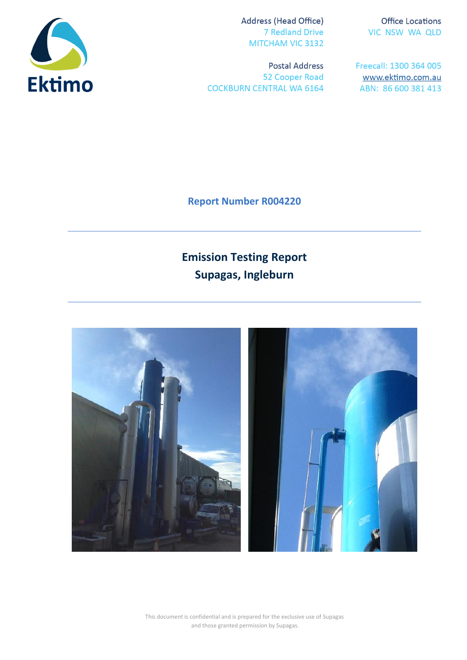

Address (Head Office) **7 Redland Drive** MITCHAM VIC 3132

**Postal Address** 52 Cooper Road **COCKBURN CENTRAL WA 6164** 

**Office Locations** VIC NSW WA QLD

Freecall: 1300 364 005 www.ektimo.com.au ABN: 86 600 381 413

**Report Number R004220**

# **Emission Testing Report Supagas, Ingleburn**



This document is confidential and is prepared for the exclusive use of Supagas and those granted permission by Supagas.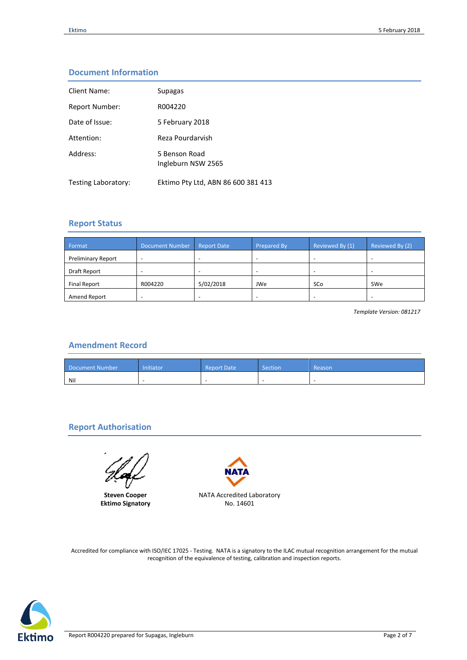## **Document Information**

| Client Name:          | Supagas                             |
|-----------------------|-------------------------------------|
| <b>Report Number:</b> | R004220                             |
| Date of Issue:        | 5 February 2018                     |
| Attention:            | Reza Pourdarvish                    |
| Address:              | 5 Benson Road<br>Ingleburn NSW 2565 |
| Testing Laboratory:   | Ektimo Pty Ltd, ABN 86 600 381 413  |

## **Report Status**

| Format                    | <b>Document Number</b> | <b>Report Date</b> | <b>Prepared By</b> | Reviewed By (1) | Reviewed By (2) |
|---------------------------|------------------------|--------------------|--------------------|-----------------|-----------------|
| <b>Preliminary Report</b> |                        | -                  | -                  |                 |                 |
| Draft Report              | ۰                      | -                  |                    |                 |                 |
| <b>Final Report</b>       | R004220                | 5/02/2018          | JWe                | SCo             | SWe             |
| Amend Report              |                        |                    |                    |                 |                 |

*Template Version: 081217*

## **Amendment Record**

| Document Number | Initiator | <b>Report Date</b> | Section | Reason <sup>1</sup> |
|-----------------|-----------|--------------------|---------|---------------------|
| Nil             |           |                    |         |                     |

## **Report Authorisation**

**Steven Cooper Ektimo Signatory**



Accredited for compliance with ISO/IEC 17025 - Testing. NATA is a signatory to the ILAC mutual recognition arrangement for the mutual recognition of the equivalence of testing, calibration and inspection reports.

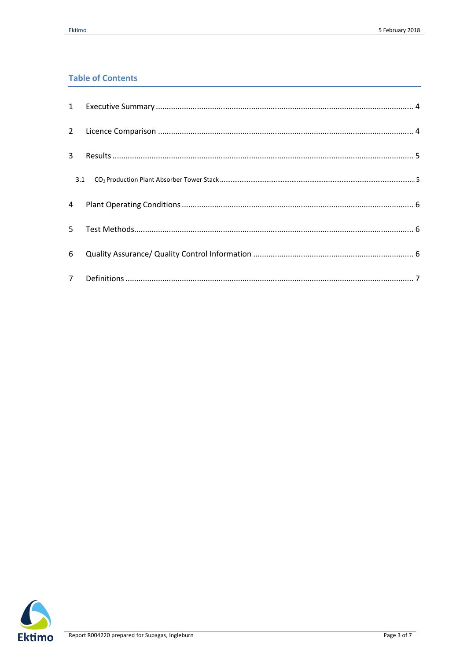# **Table of Contents**

| $\overline{3}$ |  |
|----------------|--|
| 3.1            |  |
| $\overline{4}$ |  |
| 5              |  |
| 6              |  |
| 7 <sup>7</sup> |  |

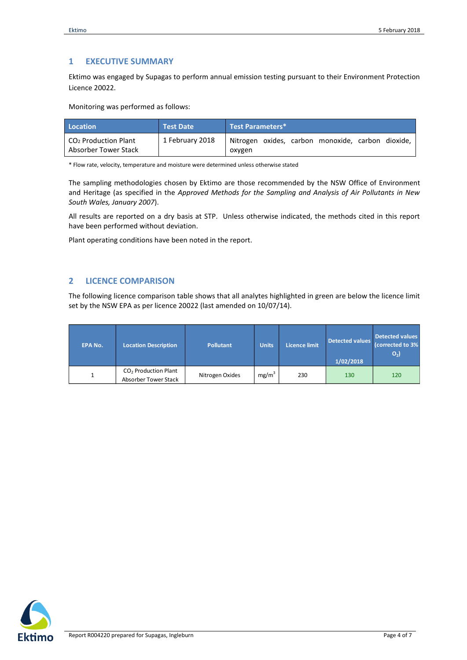### <span id="page-3-0"></span>**1 EXECUTIVE SUMMARY**

Ektimo was engaged by Supagas to perform annual emission testing pursuant to their Environment Protection Licence 20022.

Monitoring was performed as follows:

| Location                                                 | <b>Test Date</b> | Test Parameters*                                            |
|----------------------------------------------------------|------------------|-------------------------------------------------------------|
| CO <sub>2</sub> Production Plant<br>Absorber Tower Stack | 1 February 2018  | Nitrogen oxides, carbon monoxide, carbon dioxide,<br>oxygen |

\* Flow rate, velocity, temperature and moisture were determined unless otherwise stated

The sampling methodologies chosen by Ektimo are those recommended by the NSW Office of Environment and Heritage (as specified in the *Approved Methods for the Sampling and Analysis of Air Pollutants in New South Wales, January 2007*).

All results are reported on a dry basis at STP. Unless otherwise indicated, the methods cited in this report have been performed without deviation.

Plant operating conditions have been noted in the report.

## <span id="page-3-1"></span>**2 LICENCE COMPARISON**

The following licence comparison table shows that all analytes highlighted in green are below the licence limit set by the NSW EPA as per licence 20022 (last amended on 10/07/14).

| <b>EPA No.</b> | <b>Location Description</b>                              | <b>Pollutant</b> | <b>Units</b>      | <b>Licence limit</b> | Detected values<br>1/02/2018 | <b>Detected values</b><br>(corrected to 3%<br>O <sub>2</sub> |
|----------------|----------------------------------------------------------|------------------|-------------------|----------------------|------------------------------|--------------------------------------------------------------|
|                | CO <sub>2</sub> Production Plant<br>Absorber Tower Stack | Nitrogen Oxides  | mg/m <sup>3</sup> | 230                  | 130                          | 120                                                          |

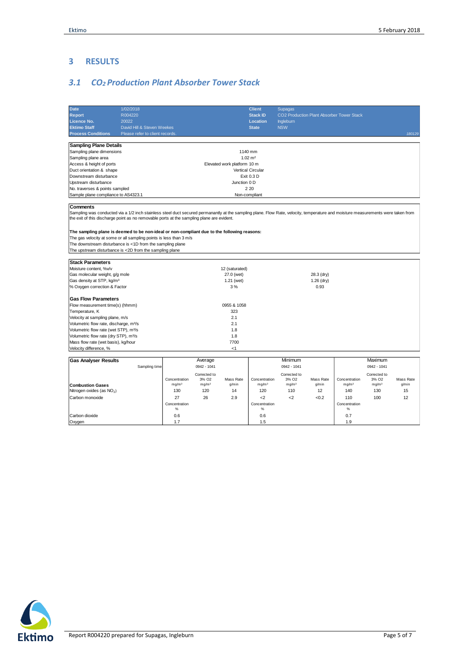## <span id="page-4-0"></span>**3 RESULTS**

# <span id="page-4-1"></span>*3.1 CO2 Production Plant Absorber Tower Stack*

| <b>Date</b><br>1/02/2018                                                                                                                                                                     |                                |                   |                   |                             | <b>Client</b>     | <b>Supagas</b>    |              |                                           |                   |           |
|----------------------------------------------------------------------------------------------------------------------------------------------------------------------------------------------|--------------------------------|-------------------|-------------------|-----------------------------|-------------------|-------------------|--------------|-------------------------------------------|-------------------|-----------|
| <b>Report</b><br>R004220                                                                                                                                                                     |                                |                   |                   |                             | <b>Stack ID</b>   |                   |              | CO2 Production Plant Absorber Tower Stack |                   |           |
| <b>Licence No.</b><br>20022                                                                                                                                                                  |                                |                   |                   |                             | <b>Location</b>   | <b>Ingleburn</b>  |              |                                           |                   |           |
| <b>Ektimo Staff</b>                                                                                                                                                                          | David Hill & Steven Weekes     |                   |                   |                             | <b>State</b>      | <b>NSW</b>        |              |                                           |                   |           |
| <b>Process Conditions</b>                                                                                                                                                                    | Please refer to client records |                   |                   |                             |                   |                   |              |                                           |                   | 180129    |
|                                                                                                                                                                                              |                                |                   |                   |                             |                   |                   |              |                                           |                   |           |
| <b>Sampling Plane Details</b>                                                                                                                                                                |                                |                   |                   |                             |                   |                   |              |                                           |                   |           |
| Sampling plane dimensions                                                                                                                                                                    |                                |                   |                   |                             | 1140 mm           |                   |              |                                           |                   |           |
| Sampling plane area                                                                                                                                                                          |                                |                   |                   |                             | $1.02 \, m2$      |                   |              |                                           |                   |           |
| Access & height of ports                                                                                                                                                                     |                                |                   |                   | Elevated work platform 10 m |                   |                   |              |                                           |                   |           |
| Duct orientation & shape                                                                                                                                                                     |                                |                   |                   |                             | Vertical Circular |                   |              |                                           |                   |           |
| Downstream disturbance                                                                                                                                                                       |                                |                   |                   |                             | Exit 0.3 D        |                   |              |                                           |                   |           |
| Upstream disturbance                                                                                                                                                                         |                                |                   |                   | Junction 0 D                |                   |                   |              |                                           |                   |           |
| No. traverses & points sampled                                                                                                                                                               |                                |                   |                   |                             | 2 2 0             |                   |              |                                           |                   |           |
| Sample plane compliance to AS4323.1                                                                                                                                                          |                                |                   |                   | Non-compliant               |                   |                   |              |                                           |                   |           |
|                                                                                                                                                                                              |                                |                   |                   |                             |                   |                   |              |                                           |                   |           |
| Comments<br>Sampling was conducted via a 1/2 inch stainless steel duct secured permanantly at the sampling plane. Flow Rate, velocity, temperature and moisture measurements were taken from |                                |                   |                   |                             |                   |                   |              |                                           |                   |           |
| the exit of this discharge point as no removable ports at the sampling plane are evident.                                                                                                    |                                |                   |                   |                             |                   |                   |              |                                           |                   |           |
| The sampling plane is deemed to be non-ideal or non-compliant due to the following reasons:                                                                                                  |                                |                   |                   |                             |                   |                   |              |                                           |                   |           |
| The gas velocity at some or all sampling points is less than 3 m/s                                                                                                                           |                                |                   |                   |                             |                   |                   |              |                                           |                   |           |
| The downstream disturbance is <1D from the sampling plane                                                                                                                                    |                                |                   |                   |                             |                   |                   |              |                                           |                   |           |
| The upstream disturbance is <2D from the sampling plane                                                                                                                                      |                                |                   |                   |                             |                   |                   |              |                                           |                   |           |
|                                                                                                                                                                                              |                                |                   |                   |                             |                   |                   |              |                                           |                   |           |
| <b>Stack Parameters</b>                                                                                                                                                                      |                                |                   |                   |                             |                   |                   |              |                                           |                   |           |
| Moisture content, %v/v                                                                                                                                                                       |                                |                   |                   | 12 (saturated)              |                   |                   |              |                                           |                   |           |
| Gas molecular weight, g/g mole                                                                                                                                                               |                                |                   |                   | 27.0 (wet)                  |                   |                   | 28.3 (dry)   |                                           |                   |           |
| Gas density at STP, kg/m <sup>3</sup>                                                                                                                                                        |                                |                   |                   | 1.21 (wet)                  |                   |                   | $1.26$ (dry) |                                           |                   |           |
| % Oxygen correction & Factor                                                                                                                                                                 |                                |                   |                   | 3%                          |                   |                   | 0.93         |                                           |                   |           |
| <b>Gas Flow Parameters</b>                                                                                                                                                                   |                                |                   |                   |                             |                   |                   |              |                                           |                   |           |
| Flow measurement time(s) (hhmm)                                                                                                                                                              |                                |                   |                   | 0955 & 1058                 |                   |                   |              |                                           |                   |           |
| Temperature, K                                                                                                                                                                               |                                |                   |                   | 323                         |                   |                   |              |                                           |                   |           |
| Velocity at sampling plane, m/s                                                                                                                                                              |                                |                   |                   | 2.1                         |                   |                   |              |                                           |                   |           |
| Volumetric flow rate, discharge, m <sup>3</sup> /s                                                                                                                                           |                                |                   |                   | 2.1                         |                   |                   |              |                                           |                   |           |
| Volumetric flow rate (wet STP), m <sup>3</sup> /s                                                                                                                                            |                                |                   |                   | 1.8                         |                   |                   |              |                                           |                   |           |
| Volumetric flow rate (dry STP), m <sup>3</sup> /s                                                                                                                                            |                                |                   |                   | 1.8                         |                   |                   |              |                                           |                   |           |
| Mass flow rate (wet basis), kg/hour                                                                                                                                                          |                                |                   |                   | 7700                        |                   |                   |              |                                           |                   |           |
| Velocity difference, %                                                                                                                                                                       |                                |                   |                   | < 1                         |                   |                   |              |                                           |                   |           |
|                                                                                                                                                                                              |                                |                   |                   |                             |                   |                   |              |                                           |                   |           |
| <b>Gas Analyser Results</b>                                                                                                                                                                  |                                |                   | Average           |                             |                   | Minimum           |              |                                           | Maximum           |           |
|                                                                                                                                                                                              | Sampling time                  |                   | 0942 - 1041       |                             |                   | 0942 - 1041       |              |                                           | 0942 - 1041       |           |
|                                                                                                                                                                                              |                                |                   | Corrected to      |                             |                   | Corrected to      |              |                                           | Corrected to      |           |
|                                                                                                                                                                                              |                                | Concentration     | 3% O <sub>2</sub> | Mass Rate                   | Concentration     | 3% O <sub>2</sub> | Mass Rate    | Concentration                             | 3% O <sub>2</sub> | Mass Rate |
| <b>Combustion Gases</b>                                                                                                                                                                      |                                | mg/m <sup>3</sup> | mg/m <sup>3</sup> | g/min                       | mg/m <sup>3</sup> | mg/m <sup>3</sup> | g/min        | mg/m <sup>3</sup>                         | mg/m <sup>3</sup> | g/min     |
| Nitrogen oxides (as NO <sub>2</sub> )                                                                                                                                                        |                                | 130               | 120               | 14                          | 120               | 110               | 12           | 140                                       | 130               | 15        |
| Carbon monoxide                                                                                                                                                                              |                                | 27                | 26                | 2.9                         | $2$               | $2$               | <0.2         | 110                                       | 100               | 12        |
|                                                                                                                                                                                              |                                | Concentration     |                   |                             | Concentration     |                   |              | Concentration                             |                   |           |
|                                                                                                                                                                                              |                                | $\%$              |                   |                             | $\%$              |                   |              | $\%$                                      |                   |           |
| Carbon dioxide                                                                                                                                                                               |                                | 0.6               |                   |                             | 0.6               |                   |              | 0.7                                       |                   |           |
| Oxygen                                                                                                                                                                                       |                                | 1.7               |                   |                             | 1.5               |                   |              | 1.9                                       |                   |           |

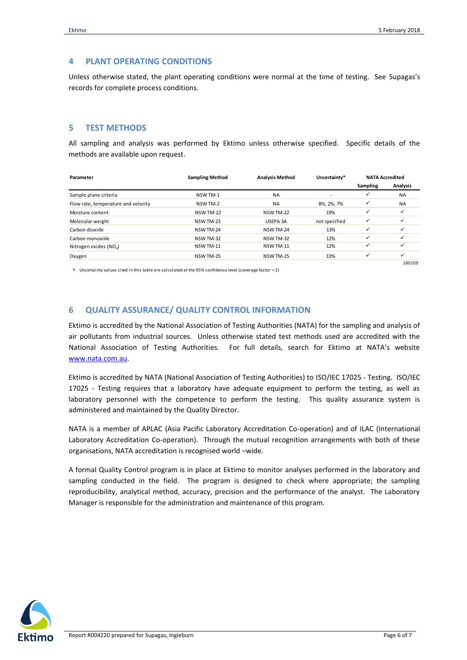#### <span id="page-5-0"></span>**4 PLANT OPERATING CONDITIONS**

Unless otherwise stated, the plant operating conditions were normal at the time of testing. See Supagas's records for complete process conditions.

#### <span id="page-5-1"></span>**5 TEST METHODS**

All sampling and analysis was performed by Ektimo unless otherwise specified. Specific details of the methods are available upon request.

| Parameter                           | <b>Sampling Method</b> | <b>Analysis Method</b> | Uncertainty*  |              | <b>NATA Accredited</b> |  |  |
|-------------------------------------|------------------------|------------------------|---------------|--------------|------------------------|--|--|
|                                     |                        |                        |               | Sampling     | Analysis               |  |  |
| Sample plane criteria               | NSW TM-1               | <b>NA</b>              |               | ✓            | <b>NA</b>              |  |  |
| Flow rate, temperature and velocity | NSW TM-2               | <b>NA</b>              | 8%, 2%, 7%    | ✓            | <b>NA</b>              |  |  |
| Moisture content                    | NSW TM-22              | <b>NSW TM-22</b>       | 19%           | $\checkmark$ | ✓                      |  |  |
| Molecular weight                    | NSW TM-23              | USEPA 3A               | not specified | $\checkmark$ |                        |  |  |
| Carbon dioxide                      | NSW TM-24              | NSW TM-24              | 13%           | $\checkmark$ | ✓                      |  |  |
| Carbon monoxide                     | NSW TM-32              | <b>NSW TM-32</b>       | 12%           | $\checkmark$ |                        |  |  |
| Nitrogen oxides $(NOv)$             | NSW TM-11              | <b>NSW TM-11</b>       | 12%           | $\checkmark$ |                        |  |  |
| Oxygen                              | <b>NSW TM-25</b>       | <b>NSW TM-25</b>       | 13%           | $\checkmark$ | ✓                      |  |  |
|                                     |                        |                        |               |              | 180109                 |  |  |

\* Uncertainty values cited in this table are calculated at the 95% confidence level (coverage factor = 2)

#### <span id="page-5-2"></span>**6 QUALITY ASSURANCE/ QUALITY CONTROL INFORMATION**

Ektimo is accredited by the National Association of Testing Authorities (NATA) for the sampling and analysis of air pollutants from industrial sources. Unless otherwise stated test methods used are accredited with the National Association of Testing Authorities. For full details, search for Ektimo at NATA's website [www.nata.com.au.](http://www.nata.com.au/) 

Ektimo is accredited by NATA (National Association of Testing Authorities) to ISO/IEC 17025 - Testing. ISO/IEC 17025 - Testing requires that a laboratory have adequate equipment to perform the testing, as well as laboratory personnel with the competence to perform the testing. This quality assurance system is administered and maintained by the Quality Director.

NATA is a member of APLAC (Asia Pacific Laboratory Accreditation Co-operation) and of ILAC (International Laboratory Accreditation Co-operation). Through the mutual recognition arrangements with both of these organisations, NATA accreditation is recognised world –wide.

A formal Quality Control program is in place at Ektimo to monitor analyses performed in the laboratory and sampling conducted in the field. The program is designed to check where appropriate; the sampling reproducibility, analytical method, accuracy, precision and the performance of the analyst. The Laboratory Manager is responsible for the administration and maintenance of this program.